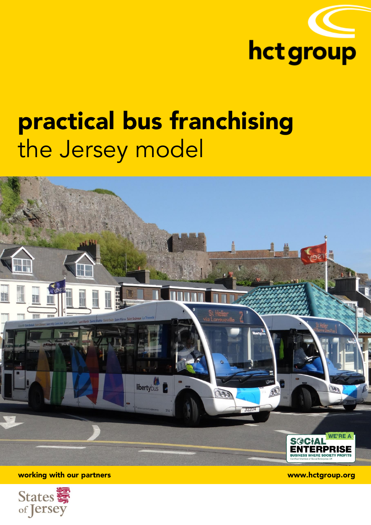

# **practical bus franchising** the Jersey model



**working with our partners www.hctgroup.org**

States of Jersey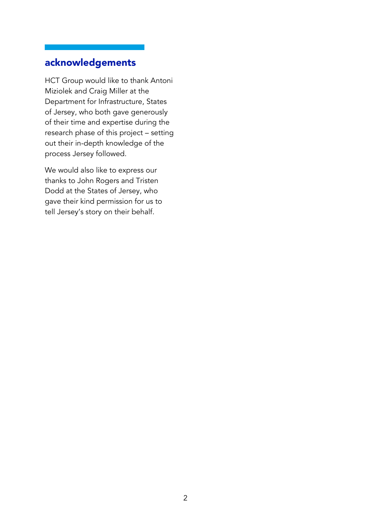# **acknowledgements**

HCT Group would like to thank Antoni Miziolek and Craig Miller at the Department for Infrastructure, States of Jersey, who both gave generously of their time and expertise during the research phase of this project – setting out their in-depth knowledge of the process Jersey followed.

We would also like to express our thanks to John Rogers and Tristen Dodd at the States of Jersey, who gave their kind permission for us to tell Jersey's story on their behalf.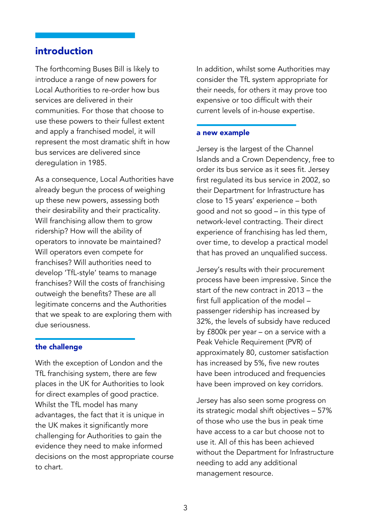## **introduction**

The forthcoming Buses Bill is likely to introduce a range of new powers for Local Authorities to re-order how bus services are delivered in their communities. For those that choose to use these powers to their fullest extent and apply a franchised model, it will represent the most dramatic shift in how bus services are delivered since deregulation in 1985.

As a consequence, Local Authorities have already begun the process of weighing up these new powers, assessing both their desirability and their practicality. Will franchising allow them to grow ridership? How will the ability of operators to innovate be maintained? Will operators even compete for franchises? Will authorities need to develop 'TfL-style' teams to manage franchises? Will the costs of franchising outweigh the benefits? These are all legitimate concerns and the Authorities that we speak to are exploring them with due seriousness.

## **the challenge**

With the exception of London and the TfL franchising system, there are few places in the UK for Authorities to look for direct examples of good practice. Whilst the TfL model has many advantages, the fact that it is unique in the UK makes it significantly more challenging for Authorities to gain the evidence they need to make informed decisions on the most appropriate course to chart.

In addition, whilst some Authorities may consider the TfL system appropriate for their needs, for others it may prove too expensive or too difficult with their current levels of in-house expertise.

#### **a new example**

Jersey is the largest of the Channel Islands and a Crown Dependency, free to order its bus service as it sees fit. Jersey first regulated its bus service in 2002, so their Department for Infrastructure has close to 15 years' experience – both good and not so good – in this type of network-level contracting. Their direct experience of franchising has led them, over time, to develop a practical model that has proved an unqualified success.

Jersey's results with their procurement process have been impressive. Since the start of the new contract in 2013 – the first full application of the model – passenger ridership has increased by 32%, the levels of subsidy have reduced by £800k per year – on a service with a Peak Vehicle Requirement (PVR) of approximately 80, customer satisfaction has increased by 5%, five new routes have been introduced and frequencies have been improved on key corridors.

Jersey has also seen some progress on its strategic modal shift objectives – 57% of those who use the bus in peak time have access to a car but choose not to use it. All of this has been achieved without the Department for Infrastructure needing to add any additional management resource.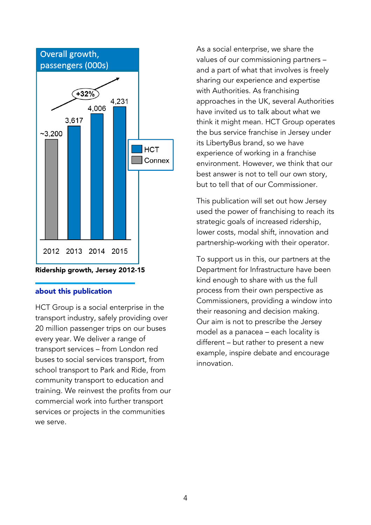

## **about this publication**

HCT Group is a social enterprise in the transport industry, safely providing over 20 million passenger trips on our buses every year. We deliver a range of transport services – from London red buses to social services transport, from school transport to Park and Ride, from community transport to education and training. We reinvest the profits from our commercial work into further transport services or projects in the communities we serve.

As a social enterprise, we share the values of our commissioning partners – and a part of what that involves is freely sharing our experience and expertise with Authorities. As franchising approaches in the UK, several Authorities have invited us to talk about what we think it might mean. HCT Group operates the bus service franchise in Jersey under its LibertyBus brand, so we have experience of working in a franchise environment. However, we think that our best answer is not to tell our own story, but to tell that of our Commissioner.

This publication will set out how Jersey used the power of franchising to reach its strategic goals of increased ridership, lower costs, modal shift, innovation and partnership-working with their operator.

To support us in this, our partners at the Department for Infrastructure have been kind enough to share with us the full process from their own perspective as Commissioners, providing a window into their reasoning and decision making. Our aim is not to prescribe the Jersey model as a panacea – each locality is different – but rather to present a new example, inspire debate and encourage innovation.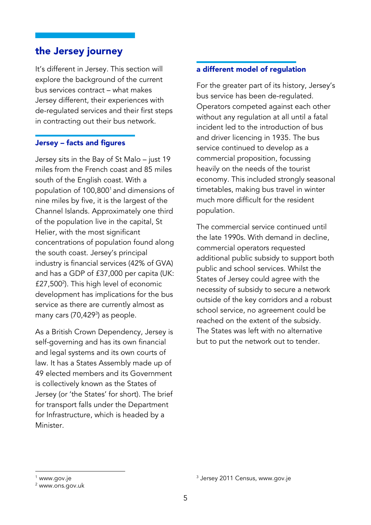# **the Jersey journey**

It's different in Jersey. This section will explore the background of the current bus services contract – what makes Jersey different, their experiences with de-regulated services and their first steps in contracting out their bus network.

## **Jersey – facts and figures**

Jersey sits in the Bay of St Malo – just 19 miles from the French coast and 85 miles south of the English coast. With a population of 100,800<sup>1</sup> and dimensions of nine miles by five, it is the largest of the Channel Islands. Approximately one third of the population live in the capital, St Helier, with the most significant concentrations of population found along the south coast. Jersey's principal industry is financial services (42% of GVA) and has a GDP of £37,000 per capita (UK: £27,500<sup>2</sup>). This high level of economic development has implications for the bus service as there are currently almost as many cars (70,429<sup>3</sup>) as people.

As a British Crown Dependency, Jersey is self-governing and has its own financial and legal systems and its own courts of law. It has a States Assembly made up of 49 elected members and its Government is collectively known as the States of Jersey (or 'the States' for short). The brief for transport falls under the Department for Infrastructure, which is headed by a Minister.

## **a different model of regulation**

For the greater part of its history, Jersey's bus service has been de-regulated. Operators competed against each other without any regulation at all until a fatal incident led to the introduction of bus and driver licencing in 1935. The bus service continued to develop as a commercial proposition, focussing heavily on the needs of the tourist economy. This included strongly seasonal timetables, making bus travel in winter much more difficult for the resident population.

The commercial service continued until the late 1990s. With demand in decline, commercial operators requested additional public subsidy to support both public and school services. Whilst the States of Jersey could agree with the necessity of subsidy to secure a network outside of the key corridors and a robust school service, no agreement could be reached on the extent of the subsidy. The States was left with no alternative but to put the network out to tender.

**.** 

<sup>&</sup>lt;sup>1</sup> www.gov.je

<sup>2</sup> www.ons.gov.uk

<sup>&</sup>lt;sup>3</sup> Jersey 2011 Census, www.gov.je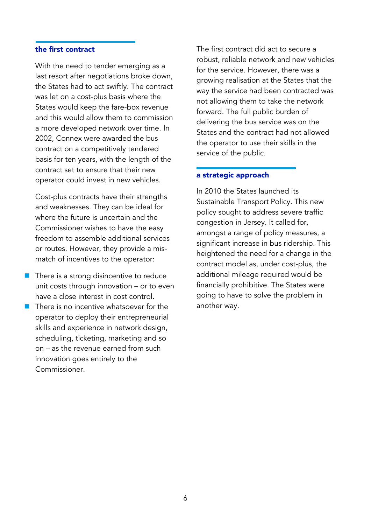## **the first contract**

With the need to tender emerging as a last resort after negotiations broke down, the States had to act swiftly. The contract was let on a cost-plus basis where the States would keep the fare-box revenue and this would allow them to commission a more developed network over time. In 2002, Connex were awarded the bus contract on a competitively tendered basis for ten years, with the length of the contract set to ensure that their new operator could invest in new vehicles.

Cost-plus contracts have their strengths and weaknesses. They can be ideal for where the future is uncertain and the Commissioner wishes to have the easy freedom to assemble additional services or routes. However, they provide a mismatch of incentives to the operator:

- $\blacksquare$  There is a strong disincentive to reduce unit costs through innovation – or to even have a close interest in cost control.
- $\blacksquare$  There is no incentive whatsoever for the operator to deploy their entrepreneurial skills and experience in network design, scheduling, ticketing, marketing and so on – as the revenue earned from such innovation goes entirely to the Commissioner.

The first contract did act to secure a robust, reliable network and new vehicles for the service. However, there was a growing realisation at the States that the way the service had been contracted was not allowing them to take the network forward. The full public burden of delivering the bus service was on the States and the contract had not allowed the operator to use their skills in the service of the public.

#### **a strategic approach**

In 2010 the States launched its Sustainable Transport Policy. This new policy sought to address severe traffic congestion in Jersey. It called for, amongst a range of policy measures, a significant increase in bus ridership. This heightened the need for a change in the contract model as, under cost-plus, the additional mileage required would be financially prohibitive. The States were going to have to solve the problem in another way.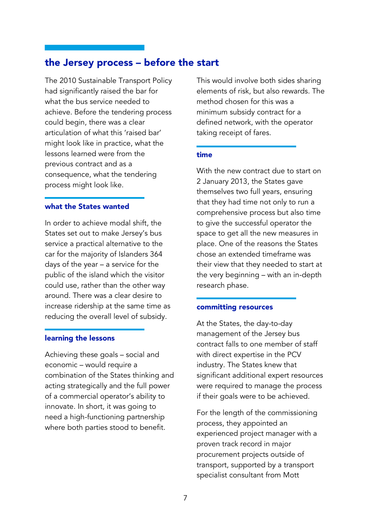# **the Jersey process – before the start**

The 2010 Sustainable Transport Policy had significantly raised the bar for what the bus service needed to achieve. Before the tendering process could begin, there was a clear articulation of what this 'raised bar' might look like in practice, what the lessons learned were from the previous contract and as a consequence, what the tendering process might look like.

#### **what the States wanted**

In order to achieve modal shift, the States set out to make Jersey's bus service a practical alternative to the car for the majority of Islanders 364 days of the year – a service for the public of the island which the visitor could use, rather than the other way around. There was a clear desire to increase ridership at the same time as reducing the overall level of subsidy.

## **learning the lessons**

Achieving these goals – social and economic – would require a combination of the States thinking and acting strategically and the full power of a commercial operator's ability to innovate. In short, it was going to need a high-functioning partnership where both parties stood to benefit.

This would involve both sides sharing elements of risk, but also rewards. The method chosen for this was a minimum subsidy contract for a defined network, with the operator taking receipt of fares.

## **time**

With the new contract due to start on 2 January 2013, the States gave themselves two full years, ensuring that they had time not only to run a comprehensive process but also time to give the successful operator the space to get all the new measures in place. One of the reasons the States chose an extended timeframe was their view that they needed to start at the very beginning – with an in-depth research phase.

## **committing resources**

At the States, the day-to-day management of the Jersey bus contract falls to one member of staff with direct expertise in the PCV industry. The States knew that significant additional expert resources were required to manage the process if their goals were to be achieved.

For the length of the commissioning process, they appointed an experienced project manager with a proven track record in major procurement projects outside of transport, supported by a transport specialist consultant from Mott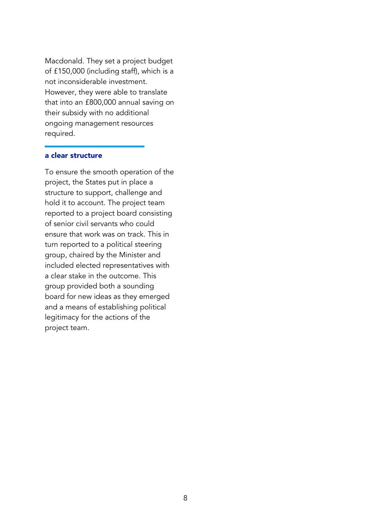Macdonald. They set a project budget of £150,000 (including staff), which is a not inconsiderable investment. However, they were able to translate that into an £800,000 annual saving on their subsidy with no additional ongoing management resources required.

#### **a clear structure**

To ensure the smooth operation of the project, the States put in place a structure to support, challenge and hold it to account. The project team reported to a project board consisting of senior civil servants who could ensure that work was on track. This in turn reported to a political steering group, chaired by the Minister and included elected representatives with a clear stake in the outcome. This group provided both a sounding board for new ideas as they emerged and a means of establishing political legitimacy for the actions of the project team.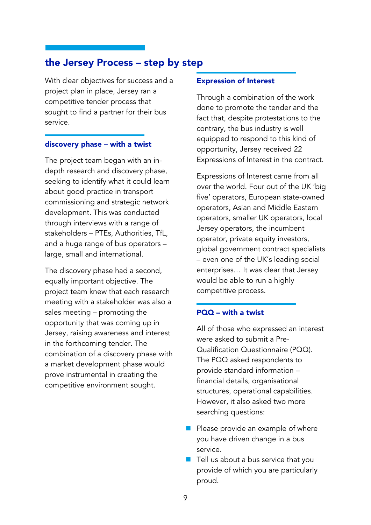# **the Jersey Process – step by step**

With clear objectives for success and a project plan in place, Jersey ran a competitive tender process that sought to find a partner for their bus service.

## **discovery phase – with a twist**

The project team began with an indepth research and discovery phase, seeking to identify what it could learn about good practice in transport commissioning and strategic network development. This was conducted through interviews with a range of stakeholders – PTEs, Authorities, TfL, and a huge range of bus operators – large, small and international.

The discovery phase had a second, equally important objective. The project team knew that each research meeting with a stakeholder was also a sales meeting – promoting the opportunity that was coming up in Jersey, raising awareness and interest in the forthcoming tender. The combination of a discovery phase with a market development phase would prove instrumental in creating the competitive environment sought.

## **Expression of Interest**

Through a combination of the work done to promote the tender and the fact that, despite protestations to the contrary, the bus industry is well equipped to respond to this kind of opportunity, Jersey received 22 Expressions of Interest in the contract.

Expressions of Interest came from all over the world. Four out of the UK 'big five' operators, European state-owned operators, Asian and Middle Eastern operators, smaller UK operators, local Jersey operators, the incumbent operator, private equity investors, global government contract specialists – even one of the UK's leading social enterprises… It was clear that Jersey would be able to run a highly competitive process.

## **PQQ – with a twist**

All of those who expressed an interest were asked to submit a Pre-Qualification Questionnaire (PQQ). The PQQ asked respondents to provide standard information – financial details, organisational structures, operational capabilities. However, it also asked two more searching questions:

- $\blacksquare$  Please provide an example of where you have driven change in a bus service.
- $\blacksquare$  Tell us about a bus service that you provide of which you are particularly proud.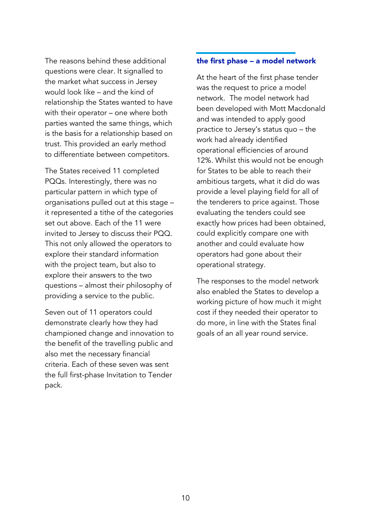The reasons behind these additional questions were clear. It signalled to the market what success in Jersey would look like – and the kind of relationship the States wanted to have with their operator – one where both parties wanted the same things, which is the basis for a relationship based on trust. This provided an early method to differentiate between competitors.

The States received 11 completed PQQs. Interestingly, there was no particular pattern in which type of organisations pulled out at this stage – it represented a tithe of the categories set out above. Each of the 11 were invited to Jersey to discuss their PQQ. This not only allowed the operators to explore their standard information with the project team, but also to explore their answers to the two questions – almost their philosophy of providing a service to the public.

Seven out of 11 operators could demonstrate clearly how they had championed change and innovation to the benefit of the travelling public and also met the necessary financial criteria. Each of these seven was sent the full first-phase Invitation to Tender pack.

## **the first phase – a model network**

At the heart of the first phase tender was the request to price a model network. The model network had been developed with Mott Macdonald and was intended to apply good practice to Jersey's status quo – the work had already identified operational efficiencies of around 12%. Whilst this would not be enough for States to be able to reach their ambitious targets, what it did do was provide a level playing field for all of the tenderers to price against. Those evaluating the tenders could see exactly how prices had been obtained, could explicitly compare one with another and could evaluate how operators had gone about their operational strategy.

The responses to the model network also enabled the States to develop a working picture of how much it might cost if they needed their operator to do more, in line with the States final goals of an all year round service.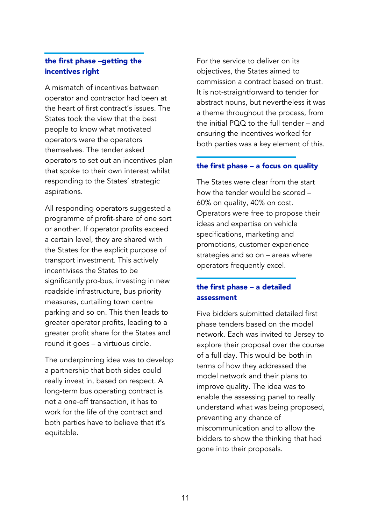## **the first phase –getting the incentives right**

A mismatch of incentives between operator and contractor had been at the heart of first contract's issues. The States took the view that the best people to know what motivated operators were the operators themselves. The tender asked operators to set out an incentives plan that spoke to their own interest whilst responding to the States' strategic aspirations.

All responding operators suggested a programme of profit-share of one sort or another. If operator profits exceed a certain level, they are shared with the States for the explicit purpose of transport investment. This actively incentivises the States to be significantly pro-bus, investing in new roadside infrastructure, bus priority measures, curtailing town centre parking and so on. This then leads to greater operator profits, leading to a greater profit share for the States and round it goes – a virtuous circle.

The underpinning idea was to develop a partnership that both sides could really invest in, based on respect. A long-term bus operating contract is not a one-off transaction, it has to work for the life of the contract and both parties have to believe that it's equitable.

For the service to deliver on its objectives, the States aimed to commission a contract based on trust. It is not-straightforward to tender for abstract nouns, but nevertheless it was a theme throughout the process, from the initial PQQ to the full tender – and ensuring the incentives worked for both parties was a key element of this.

## **the first phase – a focus on quality**

The States were clear from the start how the tender would be scored – 60% on quality, 40% on cost. Operators were free to propose their ideas and expertise on vehicle specifications, marketing and promotions, customer experience strategies and so on – areas where operators frequently excel.

## **the first phase – a detailed assessment**

Five bidders submitted detailed first phase tenders based on the model network. Each was invited to Jersey to explore their proposal over the course of a full day. This would be both in terms of how they addressed the model network and their plans to improve quality. The idea was to enable the assessing panel to really understand what was being proposed, preventing any chance of miscommunication and to allow the bidders to show the thinking that had gone into their proposals.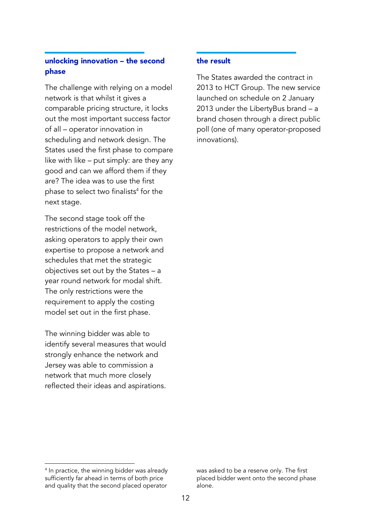## **unlocking innovation – the second phase**

The challenge with relying on a model network is that whilst it gives a comparable pricing structure, it locks out the most important success factor of all – operator innovation in scheduling and network design. The States used the first phase to compare like with like – put simply: are they any good and can we afford them if they are? The idea was to use the first phase to select two finalists<sup>4</sup> for the next stage.

The second stage took off the restrictions of the model network, asking operators to apply their own expertise to propose a network and schedules that met the strategic objectives set out by the States – a year round network for modal shift. The only restrictions were the requirement to apply the costing model set out in the first phase.

The winning bidder was able to identify several measures that would strongly enhance the network and Jersey was able to commission a network that much more closely reflected their ideas and aspirations.

## **the result**

The States awarded the contract in 2013 to HCT Group. The new service launched on schedule on 2 January 2013 under the LibertyBus brand – a brand chosen through a direct public poll (one of many operator-proposed innovations).

was asked to be a reserve only. The first placed bidder went onto the second phase alone.

<sup>1</sup> <sup>4</sup> In practice, the winning bidder was already sufficiently far ahead in terms of both price and quality that the second placed operator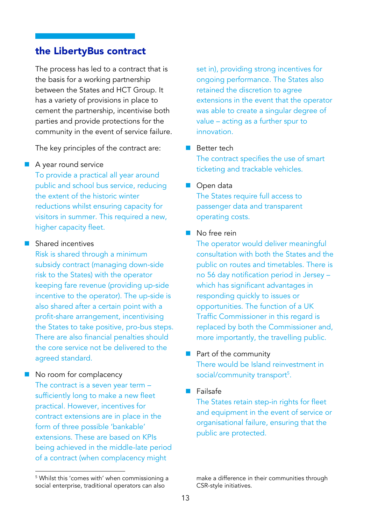## **the LibertyBus contract**

The process has led to a contract that is the basis for a working partnership between the States and HCT Group. It has a variety of provisions in place to cement the partnership, incentivise both parties and provide protections for the community in the event of service failure.

The key principles of the contract are:

## A year round service

To provide a practical all year around public and school bus service, reducing the extent of the historic winter reductions whilst ensuring capacity for visitors in summer. This required a new, higher capacity fleet.

## **Shared incentives**

Risk is shared through a minimum subsidy contract (managing down-side risk to the States) with the operator keeping fare revenue (providing up-side incentive to the operator). The up-side is also shared after a certain point with a profit-share arrangement, incentivising the States to take positive, pro-bus steps. There are also financial penalties should the core service not be delivered to the agreed standard.

## No room for complacency

**.** 

The contract is a seven year term – sufficiently long to make a new fleet practical. However, incentives for contract extensions are in place in the form of three possible 'bankable' extensions. These are based on KPIs being achieved in the middle-late period of a contract (when complacency might

set in), providing strong incentives for ongoing performance. The States also retained the discretion to agree extensions in the event that the operator was able to create a singular degree of value – acting as a further spur to innovation.

## **Better tech**

The contract specifies the use of smart ticketing and trackable vehicles.

#### ■ Open data

The States require full access to passenger data and transparent operating costs.

## No free rein

The operator would deliver meaningful consultation with both the States and the public on routes and timetables. There is no 56 day notification period in Jersey – which has significant advantages in responding quickly to issues or opportunities. The function of a UK Traffic Commissioner in this regard is replaced by both the Commissioner and, more importantly, the travelling public.

## $\blacksquare$  Part of the community

There would be Island reinvestment in social/community transport<sup>5</sup>.

## $\blacksquare$  Failsafe

The States retain step-in rights for fleet and equipment in the event of service or organisational failure, ensuring that the public are protected.

<sup>5</sup> Whilst this 'comes with' when commissioning a social enterprise, traditional operators can also

make a difference in their communities through CSR-style initiatives.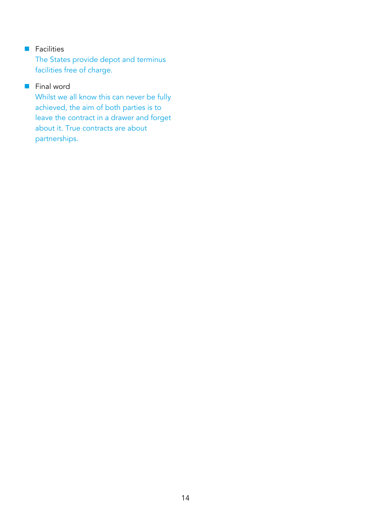## **Facilities**

The States provide depot and terminus facilities free of charge.

## **Final word**

Whilst we all know this can never be fully achieved, the aim of both parties is to leave the contract in a drawer and forget about it. True contracts are about partnerships.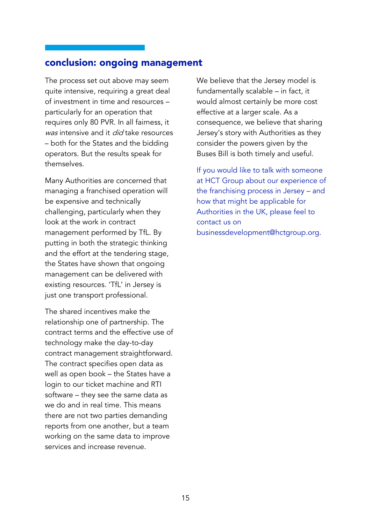## **conclusion: ongoing management**

The process set out above may seem quite intensive, requiring a great deal of investment in time and resources – particularly for an operation that requires only 80 PVR. In all fairness, it was intensive and it *did* take resources – both for the States and the bidding operators. But the results speak for themselves.

Many Authorities are concerned that managing a franchised operation will be expensive and technically challenging, particularly when they look at the work in contract management performed by TfL. By putting in both the strategic thinking and the effort at the tendering stage, the States have shown that ongoing management can be delivered with existing resources. 'TfL' in Jersey is just one transport professional.

The shared incentives make the relationship one of partnership. The contract terms and the effective use of technology make the day-to-day contract management straightforward. The contract specifies open data as well as open book – the States have a login to our ticket machine and RTI software – they see the same data as we do and in real time. This means there are not two parties demanding reports from one another, but a team working on the same data to improve services and increase revenue.

We believe that the Jersey model is fundamentally scalable – in fact, it would almost certainly be more cost effective at a larger scale. As a consequence, we believe that sharing Jersey's story with Authorities as they consider the powers given by the Buses Bill is both timely and useful.

If you would like to talk with someone at HCT Group about our experience of the franchising process in Jersey – and how that might be applicable for Authorities in the UK, please feel to contact us on businessdevelopment@hctgroup.org.